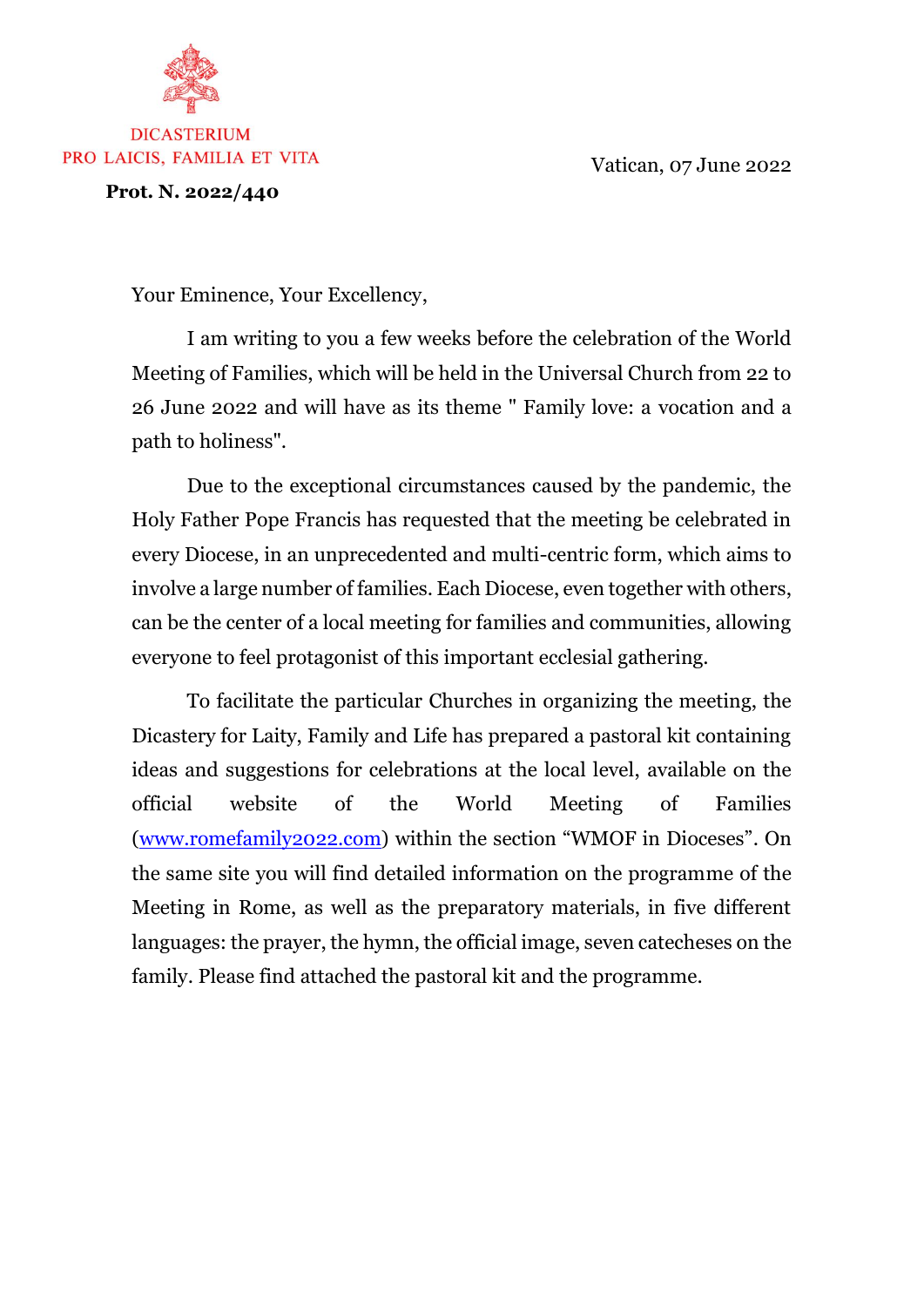Vatican, 07 June 2022



## **DICASTERIUM** PRO LAICIS, FAMILIA ET VITA

**Prot. N. 2022/440**

Your Eminence, Your Excellency,

I am writing to you a few weeks before the celebration of the World Meeting of Families, which will be held in the Universal Church from 22 to 26 June 2022 and will have as its theme " Family love: a vocation and a path to holiness".

Due to the exceptional circumstances caused by the pandemic, the Holy Father Pope Francis has requested that the meeting be celebrated in every Diocese, in an unprecedented and multi-centric form, which aims to involve a large number of families. Each Diocese, even together with others, can be the center of a local meeting for families and communities, allowing everyone to feel protagonist of this important ecclesial gathering.

To facilitate the particular Churches in organizing the meeting, the Dicastery for Laity, Family and Life has prepared a pastoral kit containing ideas and suggestions for celebrations at the local level, available on the official website of the World Meeting of Families [\(www.romefamily2022.com\)](http://www.romefamily2022.com/) within the section "WMOF in Dioceses". On the same site you will find detailed information on the programme of the Meeting in Rome, as well as the preparatory materials, in five different languages: the prayer, the hymn, the official image, seven catecheses on the family. Please find attached the pastoral kit and the programme.